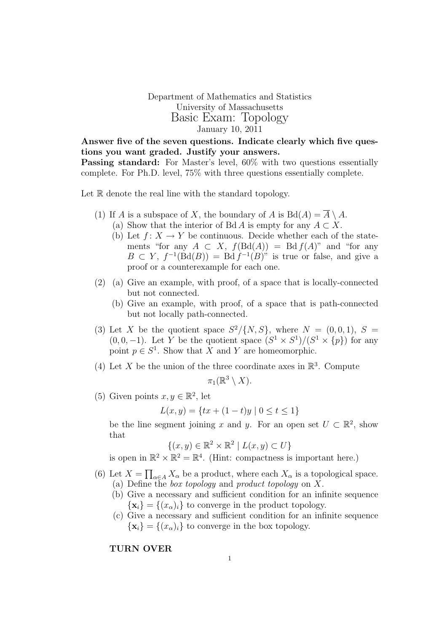Department of Mathematics and Statistics University of Massachusetts Basic Exam: Topology January 10, 2011

Answer five of the seven questions. Indicate clearly which five questions you want graded. Justify your answers. Passing standard: For Master's level,  $60\%$  with two questions essentially complete. For Ph.D. level, 75% with three questions essentially complete.

Let  $\mathbb R$  denote the real line with the standard topology.

- (1) If A is a subspace of X, the boundary of A is  $Bd(A) = \overline{A} \setminus A$ .
	- (a) Show that the interior of Bd A is empty for any  $A \subset X$ .
	- (b) Let  $f: X \to Y$  be continuous. Decide whether each of the statements "for any  $A \subset X$ ,  $f(Bd(A)) = Bd f(A)$ " and "for any  $B \subset Y$ ,  $f^{-1}(\text{Bd}(B)) = \text{Bd} f^{-1}(B)$ " is true or false, and give a proof or a counterexample for each one.
- (2) (a) Give an example, with proof, of a space that is locally-connected but not connected.
	- (b) Give an example, with proof, of a space that is path-connected but not locally path-connected.
- (3) Let X be the quotient space  $S^2/\{N, S\}$ , where  $N = (0, 0, 1), S =$  $(0,0,-1)$ . Let Y be the quotient space  $(S^1 \times S^1)/(S^1 \times \{p\})$  for any point  $p \in S^1$ . Show that X and Y are homeomorphic.
- (4) Let X be the union of the three coordinate axes in  $\mathbb{R}^3$ . Compute

$$
\pi_1(\mathbb{R}^3\setminus X).
$$

(5) Given points  $x, y \in \mathbb{R}^2$ , let

$$
L(x, y) = \{tx + (1 - t)y \mid 0 \le t \le 1\}
$$

be the line segment joining x and y. For an open set  $U \subset \mathbb{R}^2$ , show that

$$
\{(x, y) \in \mathbb{R}^2 \times \mathbb{R}^2 \mid L(x, y) \subset U\}
$$

is open in  $\mathbb{R}^2 \times \mathbb{R}^2 = \mathbb{R}^4$ . (Hint: compactness is important here.)

- (6) Let  $X = \prod_{\alpha \in A} X_{\alpha}$  be a product, where each  $X_{\alpha}$  is a topological space. (a) Define the box topology and product topology on X.
	- (b) Give a necessary and sufficient condition for an infinite sequence  ${x_i} = {(x_{\alpha})_i}$  to converge in the product topology.
	- (c) Give a necessary and sufficient condition for an infinite sequence  $\{x_i\} = \{(x_\alpha)_i\}$  to converge in the box topology.

TURN OVER